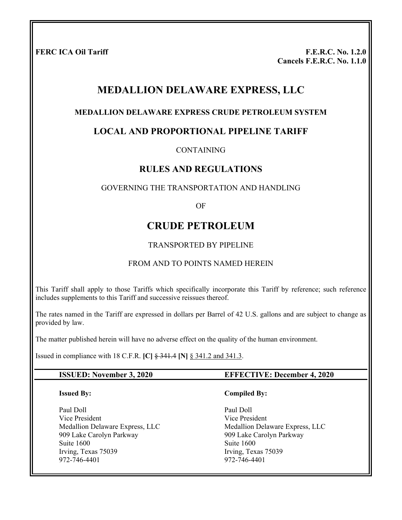**FERC ICA Oil Tariff F.E.R.C. No. 1.2.0 Cancels F.E.R.C. No. 1.1.0** 

# **MEDALLION DELAWARE EXPRESS, LLC**

#### **MEDALLION DELAWARE EXPRESS CRUDE PETROLEUM SYSTEM**

#### **LOCAL AND PROPORTIONAL PIPELINE TARIFF**

CONTAINING

#### **RULES AND REGULATIONS**

#### GOVERNING THE TRANSPORTATION AND HANDLING

OF

## **CRUDE PETROLEUM**

#### TRANSPORTED BY PIPELINE

#### FROM AND TO POINTS NAMED HEREIN

This Tariff shall apply to those Tariffs which specifically incorporate this Tariff by reference; such reference includes supplements to this Tariff and successive reissues thereof.

The rates named in the Tariff are expressed in dollars per Barrel of 42 U.S. gallons and are subject to change as provided by law.

The matter published herein will have no adverse effect on the quality of the human environment.

Issued in compliance with 18 C.F.R. **[C]** § 341.4 **[N]** § 341.2 and 341.3.

#### **ISSUED: November 3, 2020 EFFECTIVE: December 4, 2020**

#### **Issued By:**

Paul Doll Vice President Medallion Delaware Express, LLC 909 Lake Carolyn Parkway Suite 1600 Irving, Texas 75039 972-746-4401

#### **Compiled By:**

Paul Doll Vice President Medallion Delaware Express, LLC 909 Lake Carolyn Parkway Suite 1600 Irving, Texas 75039 972-746-4401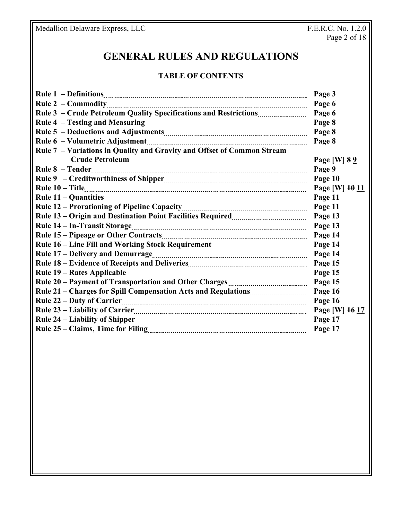# **GENERAL RULES AND REGULATIONS**

#### **TABLE OF CONTENTS**

|                                                                                                                                      | Page 3         |
|--------------------------------------------------------------------------------------------------------------------------------------|----------------|
|                                                                                                                                      | Page 6         |
|                                                                                                                                      | Page 6         |
|                                                                                                                                      | Page 8         |
|                                                                                                                                      | Page 8         |
|                                                                                                                                      | Page 8         |
| Rule 7 - Variations in Quality and Gravity and Offset of Common Stream                                                               |                |
| Crude Petroleum                                                                                                                      | Page [W] 8 9   |
|                                                                                                                                      | Page 9         |
|                                                                                                                                      | Page 10        |
|                                                                                                                                      | Page [W] 10 11 |
|                                                                                                                                      | Page 11        |
|                                                                                                                                      | Page 11        |
|                                                                                                                                      | Page 13        |
|                                                                                                                                      | Page 13        |
|                                                                                                                                      | Page 14        |
|                                                                                                                                      | Page 14        |
|                                                                                                                                      | Page 14        |
|                                                                                                                                      | Page 15        |
|                                                                                                                                      | Page 15        |
|                                                                                                                                      | Page 15        |
| Rule 21 - Charges for Spill Compensation Acts and Regulations <b>Manual</b> 21 - Charges for Spill Compensation Acts and Regulations | Page 16        |
|                                                                                                                                      | Page 16        |
|                                                                                                                                      | Page [W] 16 17 |
|                                                                                                                                      | Page 17        |
|                                                                                                                                      | Page 17        |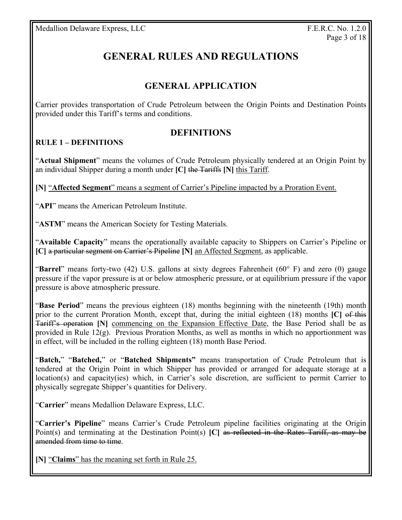# **GENERAL RULES AND REGULATIONS**

# **GENERAL APPLICATION**

Carrier provides transportation of Crude Petroleum between the Origin Points and Destination Points provided under this Tariff's terms and conditions.

## **DEFINITIONS**

#### **RULE 1 – DEFINITIONS**

"**Actual Shipment**" means the volumes of Crude Petroleum physically tendered at an Origin Point by an individual Shipper during a month under **[C]** the Tariffs **[N]** this Tariff.

**[N]** "**Affected Segment**" means a segment of Carrier's Pipeline impacted by a Proration Event.

"**API**" means the American Petroleum Institute.

"**ASTM**" means the American Society for Testing Materials.

"**Available Capacity**" means the operationally available capacity to Shippers on Carrier's Pipeline or **[C]** a particular segment on Carrier's Pipeline **[N]** an Affected Segment, as applicable.

"**Barrel**" means forty-two (42) U.S. gallons at sixty degrees Fahrenheit (60° F) and zero (0) gauge pressure if the vapor pressure is at or below atmospheric pressure, or at equilibrium pressure if the vapor pressure is above atmospheric pressure.

"**Base Period**" means the previous eighteen (18) months beginning with the nineteenth (19th) month prior to the current Proration Month, except that, during the initial eighteen (18) months **[C]** of this Tariff's operation **[N]** commencing on the Expansion Effective Date, the Base Period shall be as provided in Rule 12(g). Previous Proration Months, as well as months in which no apportionment was in effect, will be included in the rolling eighteen (18) month Base Period.

"**Batch,**" "**Batched,**" or "**Batched Shipments"** means transportation of Crude Petroleum that is tendered at the Origin Point in which Shipper has provided or arranged for adequate storage at a location(s) and capacity(ies) which, in Carrier's sole discretion, are sufficient to permit Carrier to physically segregate Shipper's quantities for Delivery.

"**Carrier**" means Medallion Delaware Express, LLC.

"**Carrier's Pipeline**" means Carrier's Crude Petroleum pipeline facilities originating at the Origin Point(s) and terminating at the Destination Point(s) **[C]** as reflected in the Rates Tariff, as may be amended from time to time.

**[N]** "**Claims**" has the meaning set forth in Rule 25.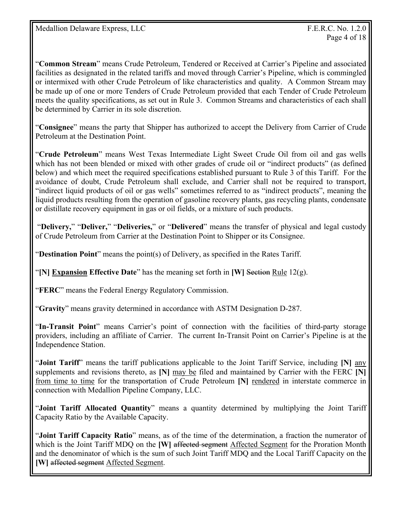"**Common Stream**" means Crude Petroleum, Tendered or Received at Carrier's Pipeline and associated facilities as designated in the related tariffs and moved through Carrier's Pipeline, which is commingled or intermixed with other Crude Petroleum of like characteristics and quality. A Common Stream may be made up of one or more Tenders of Crude Petroleum provided that each Tender of Crude Petroleum meets the quality specifications, as set out in Rule 3. Common Streams and characteristics of each shall be determined by Carrier in its sole discretion.

"**Consignee**" means the party that Shipper has authorized to accept the Delivery from Carrier of Crude Petroleum at the Destination Point.

"**Crude Petroleum**" means West Texas Intermediate Light Sweet Crude Oil from oil and gas wells which has not been blended or mixed with other grades of crude oil or "indirect products" (as defined below) and which meet the required specifications established pursuant to Rule 3 of this Tariff. For the avoidance of doubt, Crude Petroleum shall exclude, and Carrier shall not be required to transport, "indirect liquid products of oil or gas wells" sometimes referred to as "indirect products", meaning the liquid products resulting from the operation of gasoline recovery plants, gas recycling plants, condensate or distillate recovery equipment in gas or oil fields, or a mixture of such products.

 "**Delivery,**" "**Deliver,**" "**Deliveries,**" or "**Delivered**" means the transfer of physical and legal custody of Crude Petroleum from Carrier at the Destination Point to Shipper or its Consignee.

"**Destination Point**" means the point(s) of Delivery, as specified in the Rates Tariff.

"**[N] Expansion Effective Date**" has the meaning set forth in **[W]** Section Rule  $12(g)$ .

"**FERC**" means the Federal Energy Regulatory Commission.

"**Gravity**" means gravity determined in accordance with ASTM Designation D-287.

"**In-Transit Point**" means Carrier's point of connection with the facilities of third-party storage providers, including an affiliate of Carrier. The current In-Transit Point on Carrier's Pipeline is at the Independence Station.

"**Joint Tariff**" means the tariff publications applicable to the Joint Tariff Service, including **[N]** any supplements and revisions thereto, as **[N]** may be filed and maintained by Carrier with the FERC **[N]** from time to time for the transportation of Crude Petroleum **[N]** rendered in interstate commerce in connection with Medallion Pipeline Company, LLC.

"**Joint Tariff Allocated Quantity**" means a quantity determined by multiplying the Joint Tariff Capacity Ratio by the Available Capacity.

"**Joint Tariff Capacity Ratio**" means, as of the time of the determination, a fraction the numerator of which is the Joint Tariff MDQ on the **[W]** affected segment Affected Segment for the Proration Month and the denominator of which is the sum of such Joint Tariff MDQ and the Local Tariff Capacity on the **[W]** affected segment Affected Segment.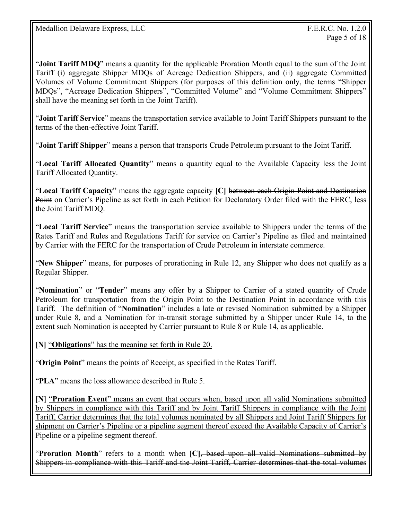"**Joint Tariff MDQ**" means a quantity for the applicable Proration Month equal to the sum of the Joint Tariff (i) aggregate Shipper MDQs of Acreage Dedication Shippers, and (ii) aggregate Committed Volumes of Volume Commitment Shippers (for purposes of this definition only, the terms "Shipper MDQs", "Acreage Dedication Shippers", "Committed Volume" and "Volume Commitment Shippers" shall have the meaning set forth in the Joint Tariff).

"**Joint Tariff Service**" means the transportation service available to Joint Tariff Shippers pursuant to the terms of the then-effective Joint Tariff.

"**Joint Tariff Shipper**" means a person that transports Crude Petroleum pursuant to the Joint Tariff.

"**Local Tariff Allocated Quantity**" means a quantity equal to the Available Capacity less the Joint Tariff Allocated Quantity.

"**Local Tariff Capacity**" means the aggregate capacity **[C]** between each Origin Point and Destination Point on Carrier's Pipeline as set forth in each Petition for Declaratory Order filed with the FERC, less the Joint Tariff MDQ.

"**Local Tariff Service**" means the transportation service available to Shippers under the terms of the Rates Tariff and Rules and Regulations Tariff for service on Carrier's Pipeline as filed and maintained by Carrier with the FERC for the transportation of Crude Petroleum in interstate commerce.

"**New Shipper**" means, for purposes of prorationing in Rule 12, any Shipper who does not qualify as a Regular Shipper.

"**Nomination**" or "**Tender**" means any offer by a Shipper to Carrier of a stated quantity of Crude Petroleum for transportation from the Origin Point to the Destination Point in accordance with this Tariff. The definition of "**Nomination**" includes a late or revised Nomination submitted by a Shipper under Rule 8, and a Nomination for in-transit storage submitted by a Shipper under Rule 14, to the extent such Nomination is accepted by Carrier pursuant to Rule 8 or Rule 14, as applicable.

**[N]** "**Obligations**" has the meaning set forth in Rule 20.

"**Origin Point**" means the points of Receipt, as specified in the Rates Tariff.

"**PLA**" means the loss allowance described in Rule 5.

**[N]** "**Proration Event**" means an event that occurs when, based upon all valid Nominations submitted by Shippers in compliance with this Tariff and by Joint Tariff Shippers in compliance with the Joint Tariff, Carrier determines that the total volumes nominated by all Shippers and Joint Tariff Shippers for shipment on Carrier's Pipeline or a pipeline segment thereof exceed the Available Capacity of Carrier's Pipeline or a pipeline segment thereof.

"**Proration Month**" refers to a month when **[C]**, based upon all valid Nominations submitted by Shippers in compliance with this Tariff and the Joint Tariff, Carrier determines that the total volumes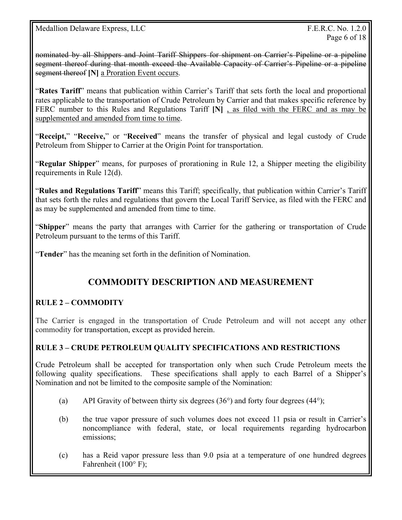Medallion Delaware Express, LLC The Contract of the Second Studies of T.E.R.C. No. 1.2.0

nominated by all Shippers and Joint Tariff Shippers for shipment on Carrier's Pipeline or a pipeline segment thereof during that month exceed the Available Capacity of Carrier's Pipeline or a pipeline segment thereof **[N]** a Proration Event occurs.

"**Rates Tariff**" means that publication within Carrier's Tariff that sets forth the local and proportional rates applicable to the transportation of Crude Petroleum by Carrier and that makes specific reference by FERC number to this Rules and Regulations Tariff **[N]** , as filed with the FERC and as may be supplemented and amended from time to time.

"**Receipt,**" "**Receive,**" or "**Received**" means the transfer of physical and legal custody of Crude Petroleum from Shipper to Carrier at the Origin Point for transportation.

"**Regular Shipper**" means, for purposes of prorationing in Rule 12, a Shipper meeting the eligibility requirements in Rule 12(d).

"**Rules and Regulations Tariff**" means this Tariff; specifically, that publication within Carrier's Tariff that sets forth the rules and regulations that govern the Local Tariff Service, as filed with the FERC and as may be supplemented and amended from time to time.

"**Shipper**" means the party that arranges with Carrier for the gathering or transportation of Crude Petroleum pursuant to the terms of this Tariff.

"**Tender**" has the meaning set forth in the definition of Nomination.

# **COMMODITY DESCRIPTION AND MEASUREMENT**

#### **RULE 2 – COMMODITY**

The Carrier is engaged in the transportation of Crude Petroleum and will not accept any other commodity for transportation, except as provided herein.

#### **RULE 3 – CRUDE PETROLEUM QUALITY SPECIFICATIONS AND RESTRICTIONS**

Crude Petroleum shall be accepted for transportation only when such Crude Petroleum meets the following quality specifications. These specifications shall apply to each Barrel of a Shipper's Nomination and not be limited to the composite sample of the Nomination:

- (a) API Gravity of between thirty six degrees  $(36^{\circ})$  and forty four degrees  $(44^{\circ})$ ;
- (b) the true vapor pressure of such volumes does not exceed 11 psia or result in Carrier's noncompliance with federal, state, or local requirements regarding hydrocarbon emissions;
- (c) has a Reid vapor pressure less than 9.0 psia at a temperature of one hundred degrees Fahrenheit (100° F);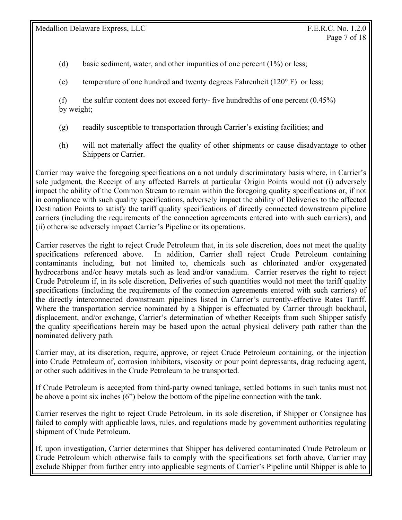- (d) basic sediment, water, and other impurities of one percent (1%) or less;
- (e) temperature of one hundred and twenty degrees Fahrenheit (120° F) or less;
- (f) the sulfur content does not exceed forty- five hundredths of one percent  $(0.45\%)$ by weight;
- (g) readily susceptible to transportation through Carrier's existing facilities; and
- (h) will not materially affect the quality of other shipments or cause disadvantage to other Shippers or Carrier.

Carrier may waive the foregoing specifications on a not unduly discriminatory basis where, in Carrier's sole judgment, the Receipt of any affected Barrels at particular Origin Points would not (i) adversely impact the ability of the Common Stream to remain within the foregoing quality specifications or, if not in compliance with such quality specifications, adversely impact the ability of Deliveries to the affected Destination Points to satisfy the tariff quality specifications of directly connected downstream pipeline carriers (including the requirements of the connection agreements entered into with such carriers), and (ii) otherwise adversely impact Carrier's Pipeline or its operations.

Carrier reserves the right to reject Crude Petroleum that, in its sole discretion, does not meet the quality specifications referenced above. In addition, Carrier shall reject Crude Petroleum containing contaminants including, but not limited to, chemicals such as chlorinated and/or oxygenated hydrocarbons and/or heavy metals such as lead and/or vanadium. Carrier reserves the right to reject Crude Petroleum if, in its sole discretion, Deliveries of such quantities would not meet the tariff quality specifications (including the requirements of the connection agreements entered with such carriers) of the directly interconnected downstream pipelines listed in Carrier's currently-effective Rates Tariff. Where the transportation service nominated by a Shipper is effectuated by Carrier through backhaul, displacement, and/or exchange, Carrier's determination of whether Receipts from such Shipper satisfy the quality specifications herein may be based upon the actual physical delivery path rather than the nominated delivery path.

Carrier may, at its discretion, require, approve, or reject Crude Petroleum containing, or the injection into Crude Petroleum of, corrosion inhibitors, viscosity or pour point depressants, drag reducing agent, or other such additives in the Crude Petroleum to be transported.

If Crude Petroleum is accepted from third-party owned tankage, settled bottoms in such tanks must not be above a point six inches (6") below the bottom of the pipeline connection with the tank.

Carrier reserves the right to reject Crude Petroleum, in its sole discretion, if Shipper or Consignee has failed to comply with applicable laws, rules, and regulations made by government authorities regulating shipment of Crude Petroleum.

If, upon investigation, Carrier determines that Shipper has delivered contaminated Crude Petroleum or Crude Petroleum which otherwise fails to comply with the specifications set forth above, Carrier may exclude Shipper from further entry into applicable segments of Carrier's Pipeline until Shipper is able to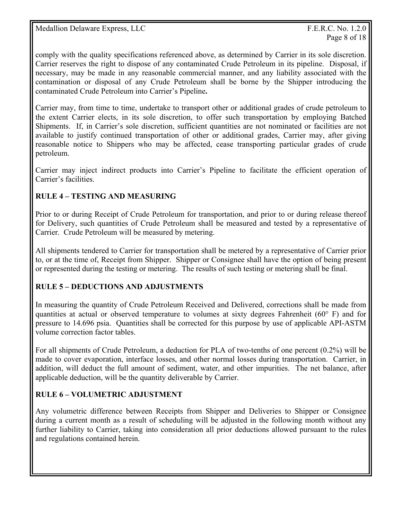comply with the quality specifications referenced above, as determined by Carrier in its sole discretion. Carrier reserves the right to dispose of any contaminated Crude Petroleum in its pipeline. Disposal, if necessary, may be made in any reasonable commercial manner, and any liability associated with the contamination or disposal of any Crude Petroleum shall be borne by the Shipper introducing the contaminated Crude Petroleum into Carrier's Pipeline**.**

Carrier may, from time to time, undertake to transport other or additional grades of crude petroleum to the extent Carrier elects, in its sole discretion, to offer such transportation by employing Batched Shipments. If, in Carrier's sole discretion, sufficient quantities are not nominated or facilities are not available to justify continued transportation of other or additional grades, Carrier may, after giving reasonable notice to Shippers who may be affected, cease transporting particular grades of crude petroleum.

Carrier may inject indirect products into Carrier's Pipeline to facilitate the efficient operation of Carrier's facilities.

#### **RULE 4 – TESTING AND MEASURING**

Prior to or during Receipt of Crude Petroleum for transportation, and prior to or during release thereof for Delivery, such quantities of Crude Petroleum shall be measured and tested by a representative of Carrier. Crude Petroleum will be measured by metering.

All shipments tendered to Carrier for transportation shall be metered by a representative of Carrier prior to, or at the time of, Receipt from Shipper. Shipper or Consignee shall have the option of being present or represented during the testing or metering. The results of such testing or metering shall be final.

#### **RULE 5 – DEDUCTIONS AND ADJUSTMENTS**

In measuring the quantity of Crude Petroleum Received and Delivered, corrections shall be made from quantities at actual or observed temperature to volumes at sixty degrees Fahrenheit (60° F) and for pressure to 14.696 psia. Quantities shall be corrected for this purpose by use of applicable API-ASTM volume correction factor tables.

For all shipments of Crude Petroleum, a deduction for PLA of two-tenths of one percent (0.2%) will be made to cover evaporation, interface losses, and other normal losses during transportation. Carrier, in addition, will deduct the full amount of sediment, water, and other impurities. The net balance, after applicable deduction, will be the quantity deliverable by Carrier.

#### **RULE 6 – VOLUMETRIC ADJUSTMENT**

Any volumetric difference between Receipts from Shipper and Deliveries to Shipper or Consignee during a current month as a result of scheduling will be adjusted in the following month without any further liability to Carrier, taking into consideration all prior deductions allowed pursuant to the rules and regulations contained herein.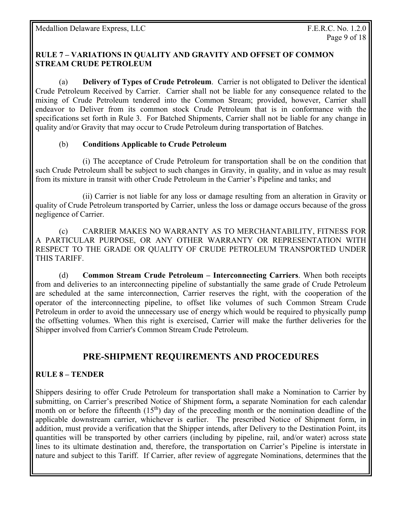#### **RULE 7 – VARIATIONS IN QUALITY AND GRAVITY AND OFFSET OF COMMON STREAM CRUDE PETROLEUM**

(a) **Delivery of Types of Crude Petroleum**. Carrier is not obligated to Deliver the identical Crude Petroleum Received by Carrier. Carrier shall not be liable for any consequence related to the mixing of Crude Petroleum tendered into the Common Stream; provided, however, Carrier shall endeavor to Deliver from its common stock Crude Petroleum that is in conformance with the specifications set forth in Rule 3. For Batched Shipments, Carrier shall not be liable for any change in quality and/or Gravity that may occur to Crude Petroleum during transportation of Batches.

#### (b) **Conditions Applicable to Crude Petroleum**

 (i) The acceptance of Crude Petroleum for transportation shall be on the condition that such Crude Petroleum shall be subject to such changes in Gravity, in quality, and in value as may result from its mixture in transit with other Crude Petroleum in the Carrier's Pipeline and tanks; and

 (ii) Carrier is not liable for any loss or damage resulting from an alteration in Gravity or quality of Crude Petroleum transported by Carrier, unless the loss or damage occurs because of the gross negligence of Carrier.

 (c) CARRIER MAKES NO WARRANTY AS TO MERCHANTABILITY, FITNESS FOR A PARTICULAR PURPOSE, OR ANY OTHER WARRANTY OR REPRESENTATION WITH RESPECT TO THE GRADE OR QUALITY OF CRUDE PETROLEUM TRANSPORTED UNDER THIS TARIFF.

 (d) **Common Stream Crude Petroleum – Interconnecting Carriers**. When both receipts from and deliveries to an interconnecting pipeline of substantially the same grade of Crude Petroleum are scheduled at the same interconnection, Carrier reserves the right, with the cooperation of the operator of the interconnecting pipeline, to offset like volumes of such Common Stream Crude Petroleum in order to avoid the unnecessary use of energy which would be required to physically pump the offsetting volumes. When this right is exercised, Carrier will make the further deliveries for the Shipper involved from Carrier's Common Stream Crude Petroleum.

# **PRE-SHIPMENT REQUIREMENTS AND PROCEDURES**

#### **RULE 8 – TENDER**

Shippers desiring to offer Crude Petroleum for transportation shall make a Nomination to Carrier by submitting, on Carrier's prescribed Notice of Shipment form**,** a separate Nomination for each calendar month on or before the fifteenth  $(15<sup>th</sup>)$  day of the preceding month or the nomination deadline of the applicable downstream carrier, whichever is earlier. The prescribed Notice of Shipment form, in addition, must provide a verification that the Shipper intends, after Delivery to the Destination Point, its quantities will be transported by other carriers (including by pipeline, rail, and/or water) across state lines to its ultimate destination and, therefore, the transportation on Carrier's Pipeline is interstate in nature and subject to this Tariff. If Carrier, after review of aggregate Nominations, determines that the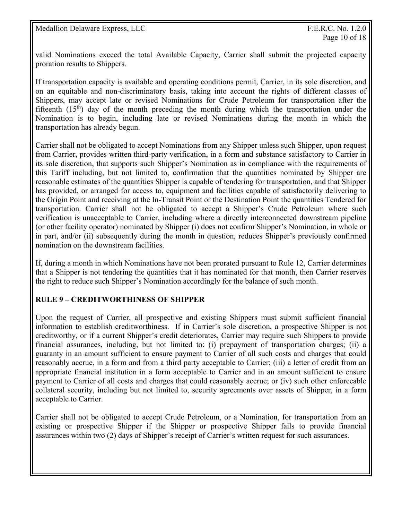valid Nominations exceed the total Available Capacity, Carrier shall submit the projected capacity proration results to Shippers.

If transportation capacity is available and operating conditions permit, Carrier, in its sole discretion, and on an equitable and non-discriminatory basis, taking into account the rights of different classes of Shippers, may accept late or revised Nominations for Crude Petroleum for transportation after the fifteenth  $(15<sup>th</sup>)$  day of the month preceding the month during which the transportation under the Nomination is to begin, including late or revised Nominations during the month in which the transportation has already begun.

Carrier shall not be obligated to accept Nominations from any Shipper unless such Shipper, upon request from Carrier, provides written third-party verification, in a form and substance satisfactory to Carrier in its sole discretion, that supports such Shipper's Nomination as in compliance with the requirements of this Tariff including, but not limited to, confirmation that the quantities nominated by Shipper are reasonable estimates of the quantities Shipper is capable of tendering for transportation, and that Shipper has provided, or arranged for access to, equipment and facilities capable of satisfactorily delivering to the Origin Point and receiving at the In-Transit Point or the Destination Point the quantities Tendered for transportation. Carrier shall not be obligated to accept a Shipper's Crude Petroleum where such verification is unacceptable to Carrier, including where a directly interconnected downstream pipeline (or other facility operator) nominated by Shipper (i) does not confirm Shipper's Nomination, in whole or in part, and/or (ii) subsequently during the month in question, reduces Shipper's previously confirmed nomination on the downstream facilities.

If, during a month in which Nominations have not been prorated pursuant to Rule 12, Carrier determines that a Shipper is not tendering the quantities that it has nominated for that month, then Carrier reserves the right to reduce such Shipper's Nomination accordingly for the balance of such month.

#### **RULE 9 – CREDITWORTHINESS OF SHIPPER**

Upon the request of Carrier, all prospective and existing Shippers must submit sufficient financial information to establish creditworthiness. If in Carrier's sole discretion, a prospective Shipper is not creditworthy, or if a current Shipper's credit deteriorates, Carrier may require such Shippers to provide financial assurances, including, but not limited to: (i) prepayment of transportation charges; (ii) a guaranty in an amount sufficient to ensure payment to Carrier of all such costs and charges that could reasonably accrue, in a form and from a third party acceptable to Carrier; (iii) a letter of credit from an appropriate financial institution in a form acceptable to Carrier and in an amount sufficient to ensure payment to Carrier of all costs and charges that could reasonably accrue; or (iv) such other enforceable collateral security, including but not limited to, security agreements over assets of Shipper, in a form acceptable to Carrier.

Carrier shall not be obligated to accept Crude Petroleum, or a Nomination, for transportation from an existing or prospective Shipper if the Shipper or prospective Shipper fails to provide financial assurances within two (2) days of Shipper's receipt of Carrier's written request for such assurances.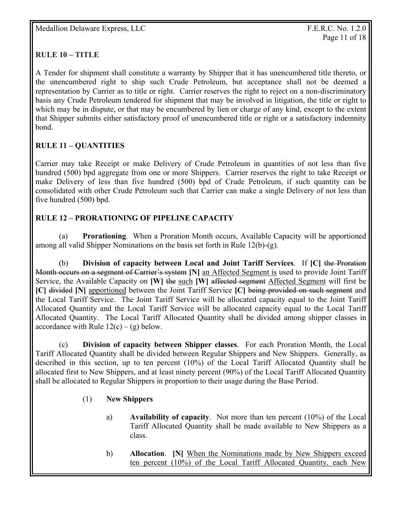#### **RULE 10 – TITLE**

A Tender for shipment shall constitute a warranty by Shipper that it has unencumbered title thereto, or the unencumbered right to ship such Crude Petroleum, but acceptance shall not be deemed a representation by Carrier as to title or right. Carrier reserves the right to reject on a non-discriminatory basis any Crude Petroleum tendered for shipment that may be involved in litigation, the title or right to which may be in dispute, or that may be encumbered by lien or charge of any kind, except to the extent that Shipper submits either satisfactory proof of unencumbered title or right or a satisfactory indemnity bond.

#### **RULE 11 – QUANTITIES**

Carrier may take Receipt or make Delivery of Crude Petroleum in quantities of not less than five hundred (500) bpd aggregate from one or more Shippers. Carrier reserves the right to take Receipt or make Delivery of less than five hundred (500) bpd of Crude Petroleum, if such quantity can be consolidated with other Crude Petroleum such that Carrier can make a single Delivery of not less than five hundred (500) bpd.

#### **RULE 12 – PRORATIONING OF PIPELINE CAPACITY**

 (a) **Prorationing**. When a Proration Month occurs, Available Capacity will be apportioned among all valid Shipper Nominations on the basis set forth in Rule 12(b)-(g).

(b) **Division of capacity between Local and Joint Tariff Services**. If **[C]** the Proration Month occurs on a segment of Carrier's system **[N]** an Affected Segment is used to provide Joint Tariff Service, the Available Capacity on **[W]** the such **[W]** affected segment Affected Segment will first be **[C]** divided **[N]** apportioned between the Joint Tariff Service **[C]** being provided on such segment and the Local Tariff Service. The Joint Tariff Service will be allocated capacity equal to the Joint Tariff Allocated Quantity and the Local Tariff Service will be allocated capacity equal to the Local Tariff Allocated Quantity. The Local Tariff Allocated Quantity shall be divided among shipper classes in accordance with Rule  $12(c) - (g)$  below.

 (c) **Division of capacity between Shipper classes**. For each Proration Month, the Local Tariff Allocated Quantity shall be divided between Regular Shippers and New Shippers. Generally, as described in this section, up to ten percent (10%) of the Local Tariff Allocated Quantity shall be allocated first to New Shippers, and at least ninety percent (90%) of the Local Tariff Allocated Quantity shall be allocated to Regular Shippers in proportion to their usage during the Base Period.

#### (1) **New Shippers**

- a) **Availability of capacity**. Not more than ten percent (10%) of the Local Tariff Allocated Quantity shall be made available to New Shippers as a class.
- b) **Allocation**. **[N]** When the Nominations made by New Shippers exceed ten percent (10%) of the Local Tariff Allocated Quantity, each New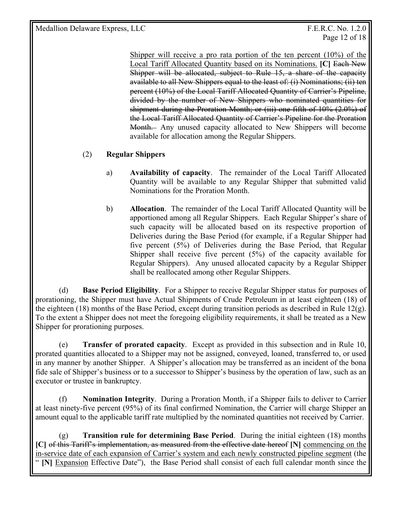Page 12 of 18

Shipper will receive a pro rata portion of the ten percent (10%) of the Local Tariff Allocated Quantity based on its Nominations. **[C]** Each New Shipper will be allocated, subject to Rule 15, a share of the capacity available to all New Shippers equal to the least of: (i) Nominations; (ii) ten percent (10%) of the Local Tariff Allocated Quantity of Carrier's Pipeline, divided by the number of New Shippers who nominated quantities for shipment during the Proration Month; or (iii) one-fifth of 10% (2.0%) of the Local Tariff Allocated Quantity of Carrier's Pipeline for the Proration Month. Any unused capacity allocated to New Shippers will become available for allocation among the Regular Shippers.

#### (2) **Regular Shippers**

- a) **Availability of capacity**. The remainder of the Local Tariff Allocated Quantity will be available to any Regular Shipper that submitted valid Nominations for the Proration Month.
- b) **Allocation**. The remainder of the Local Tariff Allocated Quantity will be apportioned among all Regular Shippers. Each Regular Shipper's share of such capacity will be allocated based on its respective proportion of Deliveries during the Base Period (for example, if a Regular Shipper had five percent (5%) of Deliveries during the Base Period, that Regular Shipper shall receive five percent (5%) of the capacity available for Regular Shippers). Any unused allocated capacity by a Regular Shipper shall be reallocated among other Regular Shippers.

 (d) **Base Period Eligibility**. For a Shipper to receive Regular Shipper status for purposes of prorationing, the Shipper must have Actual Shipments of Crude Petroleum in at least eighteen (18) of the eighteen (18) months of the Base Period, except during transition periods as described in Rule  $12(g)$ . To the extent a Shipper does not meet the foregoing eligibility requirements, it shall be treated as a New Shipper for prorationing purposes.

 (e) **Transfer of prorated capacity**. Except as provided in this subsection and in Rule 10, prorated quantities allocated to a Shipper may not be assigned, conveyed, loaned, transferred to, or used in any manner by another Shipper. A Shipper's allocation may be transferred as an incident of the bona fide sale of Shipper's business or to a successor to Shipper's business by the operation of law, such as an executor or trustee in bankruptcy.

 (f) **Nomination Integrity**. During a Proration Month, if a Shipper fails to deliver to Carrier at least ninety-five percent (95%) of its final confirmed Nomination, the Carrier will charge Shipper an amount equal to the applicable tariff rate multiplied by the nominated quantities not received by Carrier.

(g) **Transition rule for determining Base Period**. During the initial eighteen (18) months **[C]** of this Tariff's implementation, as measured from the effective date hereof **[N]** commencing on the in-service date of each expansion of Carrier's system and each newly constructed pipeline segment (the " **[N]** Expansion Effective Date"), the Base Period shall consist of each full calendar month since the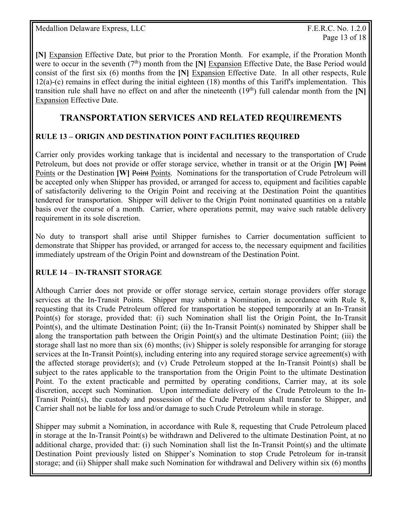**[N]** Expansion Effective Date, but prior to the Proration Month. For example, if the Proration Month were to occur in the seventh (7<sup>th</sup>) month from the [N] Expansion Effective Date, the Base Period would consist of the first six (6) months from the **[N]** Expansion Effective Date. In all other respects, Rule  $12(a)$ -(c) remains in effect during the initial eighteen (18) months of this Tariff's implementation. This transition rule shall have no effect on and after the nineteenth  $(19<sup>th</sup>)$  full calendar month from the [N] Expansion Effective Date.

## **TRANSPORTATION SERVICES AND RELATED REQUIREMENTS**

#### **RULE 13 – ORIGIN AND DESTINATION POINT FACILITIES REQUIRED**

Carrier only provides working tankage that is incidental and necessary to the transportation of Crude Petroleum, but does not provide or offer storage service, whether in transit or at the Origin **[W]** Point Points or the Destination **[W] Point Points.** Nominations for the transportation of Crude Petroleum will be accepted only when Shipper has provided, or arranged for access to, equipment and facilities capable of satisfactorily delivering to the Origin Point and receiving at the Destination Point the quantities tendered for transportation. Shipper will deliver to the Origin Point nominated quantities on a ratable basis over the course of a month. Carrier, where operations permit, may waive such ratable delivery requirement in its sole discretion.

No duty to transport shall arise until Shipper furnishes to Carrier documentation sufficient to demonstrate that Shipper has provided, or arranged for access to, the necessary equipment and facilities immediately upstream of the Origin Point and downstream of the Destination Point.

#### **RULE 14** – **IN-TRANSIT STORAGE**

Although Carrier does not provide or offer storage service, certain storage providers offer storage services at the In-Transit Points. Shipper may submit a Nomination, in accordance with Rule 8, requesting that its Crude Petroleum offered for transportation be stopped temporarily at an In-Transit Point(s) for storage, provided that: (i) such Nomination shall list the Origin Point, the In-Transit Point(s), and the ultimate Destination Point; (ii) the In-Transit Point(s) nominated by Shipper shall be along the transportation path between the Origin Point(s) and the ultimate Destination Point; (iii) the storage shall last no more than six (6) months; (iv) Shipper is solely responsible for arranging for storage services at the In-Transit Point(s), including entering into any required storage service agreement(s) with the affected storage provider(s); and (v) Crude Petroleum stopped at the In-Transit Point(s) shall be subject to the rates applicable to the transportation from the Origin Point to the ultimate Destination Point. To the extent practicable and permitted by operating conditions, Carrier may, at its sole discretion, accept such Nomination. Upon intermediate delivery of the Crude Petroleum to the In-Transit Point(s), the custody and possession of the Crude Petroleum shall transfer to Shipper, and Carrier shall not be liable for loss and/or damage to such Crude Petroleum while in storage.

Shipper may submit a Nomination, in accordance with Rule 8, requesting that Crude Petroleum placed in storage at the In-Transit Point(s) be withdrawn and Delivered to the ultimate Destination Point, at no additional charge, provided that: (i) such Nomination shall list the In-Transit Point(s) and the ultimate Destination Point previously listed on Shipper's Nomination to stop Crude Petroleum for in-transit storage; and (ii) Shipper shall make such Nomination for withdrawal and Delivery within six (6) months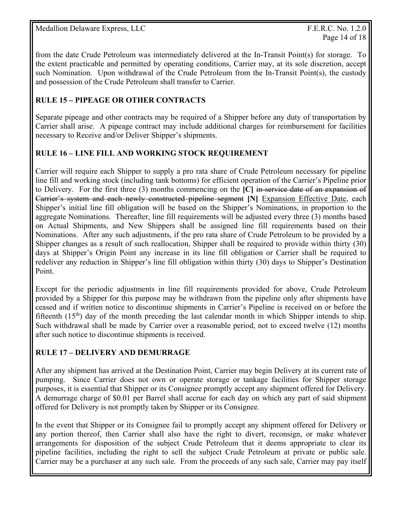from the date Crude Petroleum was intermediately delivered at the In-Transit Point(s) for storage. To the extent practicable and permitted by operating conditions, Carrier may, at its sole discretion, accept such Nomination. Upon withdrawal of the Crude Petroleum from the In-Transit Point(s), the custody and possession of the Crude Petroleum shall transfer to Carrier.

#### **RULE 15** *–* **PIPEAGE OR OTHER CONTRACTS**

Separate pipeage and other contracts may be required of a Shipper before any duty of transportation by Carrier shall arise. A pipeage contract may include additional charges for reimbursement for facilities necessary to Receive and/or Deliver Shipper's shipments.

#### **RULE 16 – LINE FILL AND WORKING STOCK REQUIREMENT**

Carrier will require each Shipper to supply a pro rata share of Crude Petroleum necessary for pipeline line fill and working stock (including tank bottoms) for efficient operation of the Carrier's Pipeline prior to Delivery. For the first three (3) months commencing on the **[C]** in-service date of an expansion of Carrier's system and each newly constructed pipeline segment **[N]** Expansion Effective Date, each Shipper's initial line fill obligation will be based on the Shipper's Nominations, in proportion to the aggregate Nominations. Thereafter, line fill requirements will be adjusted every three (3) months based on Actual Shipments, and New Shippers shall be assigned line fill requirements based on their Nominations. After any such adjustments, if the pro rata share of Crude Petroleum to be provided by a Shipper changes as a result of such reallocation, Shipper shall be required to provide within thirty (30) days at Shipper's Origin Point any increase in its line fill obligation or Carrier shall be required to redeliver any reduction in Shipper's line fill obligation within thirty (30) days to Shipper's Destination Point.

Except for the periodic adjustments in line fill requirements provided for above, Crude Petroleum provided by a Shipper for this purpose may be withdrawn from the pipeline only after shipments have ceased and if written notice to discontinue shipments in Carrier's Pipeline is received on or before the fifteenth  $(15<sup>th</sup>)$  day of the month preceding the last calendar month in which Shipper intends to ship. Such withdrawal shall be made by Carrier over a reasonable period, not to exceed twelve (12) months after such notice to discontinue shipments is received.

#### **RULE 17 – DELIVERY AND DEMURRAGE**

After any shipment has arrived at the Destination Point, Carrier may begin Delivery at its current rate of pumping. Since Carrier does not own or operate storage or tankage facilities for Shipper storage purposes, it is essential that Shipper or its Consignee promptly accept any shipment offered for Delivery. A demurrage charge of \$0.01 per Barrel shall accrue for each day on which any part of said shipment offered for Delivery is not promptly taken by Shipper or its Consignee.

In the event that Shipper or its Consignee fail to promptly accept any shipment offered for Delivery or any portion thereof, then Carrier shall also have the right to divert, reconsign, or make whatever arrangements for disposition of the subject Crude Petroleum that it deems appropriate to clear its pipeline facilities, including the right to sell the subject Crude Petroleum at private or public sale. Carrier may be a purchaser at any such sale. From the proceeds of any such sale, Carrier may pay itself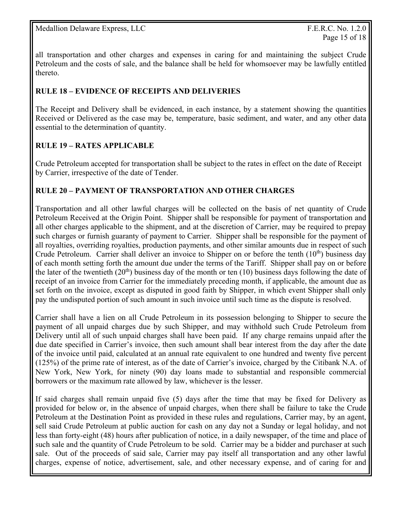all transportation and other charges and expenses in caring for and maintaining the subject Crude Petroleum and the costs of sale, and the balance shall be held for whomsoever may be lawfully entitled thereto.

#### **RULE 18 – EVIDENCE OF RECEIPTS AND DELIVERIES**

The Receipt and Delivery shall be evidenced, in each instance, by a statement showing the quantities Received or Delivered as the case may be, temperature, basic sediment, and water, and any other data essential to the determination of quantity.

#### **RULE 19 – RATES APPLICABLE**

Crude Petroleum accepted for transportation shall be subject to the rates in effect on the date of Receipt by Carrier, irrespective of the date of Tender.

#### **RULE 20 – PAYMENT OF TRANSPORTATION AND OTHER CHARGES**

Transportation and all other lawful charges will be collected on the basis of net quantity of Crude Petroleum Received at the Origin Point. Shipper shall be responsible for payment of transportation and all other charges applicable to the shipment, and at the discretion of Carrier, may be required to prepay such charges or furnish guaranty of payment to Carrier. Shipper shall be responsible for the payment of all royalties, overriding royalties, production payments, and other similar amounts due in respect of such Crude Petroleum. Carrier shall deliver an invoice to Shipper on or before the tenth  $(10<sup>th</sup>)$  business day of each month setting forth the amount due under the terms of the Tariff. Shipper shall pay on or before the later of the twentieth  $(20<sup>th</sup>)$  business day of the month or ten (10) business days following the date of receipt of an invoice from Carrier for the immediately preceding month, if applicable, the amount due as set forth on the invoice, except as disputed in good faith by Shipper, in which event Shipper shall only pay the undisputed portion of such amount in such invoice until such time as the dispute is resolved.

Carrier shall have a lien on all Crude Petroleum in its possession belonging to Shipper to secure the payment of all unpaid charges due by such Shipper, and may withhold such Crude Petroleum from Delivery until all of such unpaid charges shall have been paid. If any charge remains unpaid after the due date specified in Carrier's invoice, then such amount shall bear interest from the day after the date of the invoice until paid, calculated at an annual rate equivalent to one hundred and twenty five percent (125%) of the prime rate of interest, as of the date of Carrier's invoice, charged by the Citibank N.A. of New York, New York, for ninety (90) day loans made to substantial and responsible commercial borrowers or the maximum rate allowed by law, whichever is the lesser.

If said charges shall remain unpaid five (5) days after the time that may be fixed for Delivery as provided for below or, in the absence of unpaid charges, when there shall be failure to take the Crude Petroleum at the Destination Point as provided in these rules and regulations, Carrier may, by an agent, sell said Crude Petroleum at public auction for cash on any day not a Sunday or legal holiday, and not less than forty-eight (48) hours after publication of notice, in a daily newspaper, of the time and place of such sale and the quantity of Crude Petroleum to be sold. Carrier may be a bidder and purchaser at such sale. Out of the proceeds of said sale, Carrier may pay itself all transportation and any other lawful charges, expense of notice, advertisement, sale, and other necessary expense, and of caring for and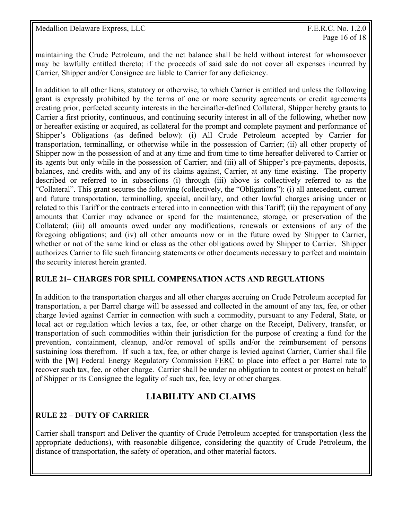maintaining the Crude Petroleum, and the net balance shall be held without interest for whomsoever may be lawfully entitled thereto; if the proceeds of said sale do not cover all expenses incurred by Carrier, Shipper and/or Consignee are liable to Carrier for any deficiency.

In addition to all other liens, statutory or otherwise, to which Carrier is entitled and unless the following grant is expressly prohibited by the terms of one or more security agreements or credit agreements creating prior, perfected security interests in the hereinafter-defined Collateral, Shipper hereby grants to Carrier a first priority, continuous, and continuing security interest in all of the following, whether now or hereafter existing or acquired, as collateral for the prompt and complete payment and performance of Shipper's Obligations (as defined below): (i) All Crude Petroleum accepted by Carrier for transportation, terminalling, or otherwise while in the possession of Carrier; (ii) all other property of Shipper now in the possession of and at any time and from time to time hereafter delivered to Carrier or its agents but only while in the possession of Carrier; and (iii) all of Shipper's pre-payments, deposits, balances, and credits with, and any of its claims against, Carrier, at any time existing. The property described or referred to in subsections (i) through (iii) above is collectively referred to as the "Collateral". This grant secures the following (collectively, the "Obligations"): (i) all antecedent, current and future transportation, terminalling, special, ancillary, and other lawful charges arising under or related to this Tariff or the contracts entered into in connection with this Tariff; (ii) the repayment of any amounts that Carrier may advance or spend for the maintenance, storage, or preservation of the Collateral; (iii) all amounts owed under any modifications, renewals or extensions of any of the foregoing obligations; and (iv) all other amounts now or in the future owed by Shipper to Carrier, whether or not of the same kind or class as the other obligations owed by Shipper to Carrier. Shipper authorizes Carrier to file such financing statements or other documents necessary to perfect and maintain the security interest herein granted.

#### **RULE 21– CHARGES FOR SPILL COMPENSATION ACTS AND REGULATIONS**

In addition to the transportation charges and all other charges accruing on Crude Petroleum accepted for transportation, a per Barrel charge will be assessed and collected in the amount of any tax, fee, or other charge levied against Carrier in connection with such a commodity, pursuant to any Federal, State, or local act or regulation which levies a tax, fee, or other charge on the Receipt, Delivery, transfer, or transportation of such commodities within their jurisdiction for the purpose of creating a fund for the prevention, containment, cleanup, and/or removal of spills and/or the reimbursement of persons sustaining loss therefrom. If such a tax, fee, or other charge is levied against Carrier, Carrier shall file with the **[W]** Federal Energy Regulatory Commission FERC to place into effect a per Barrel rate to recover such tax, fee, or other charge. Carrier shall be under no obligation to contest or protest on behalf of Shipper or its Consignee the legality of such tax, fee, levy or other charges.

# **LIABILITY AND CLAIMS**

#### **RULE 22 – DUTY OF CARRIER**

Carrier shall transport and Deliver the quantity of Crude Petroleum accepted for transportation (less the appropriate deductions), with reasonable diligence, considering the quantity of Crude Petroleum, the distance of transportation, the safety of operation, and other material factors.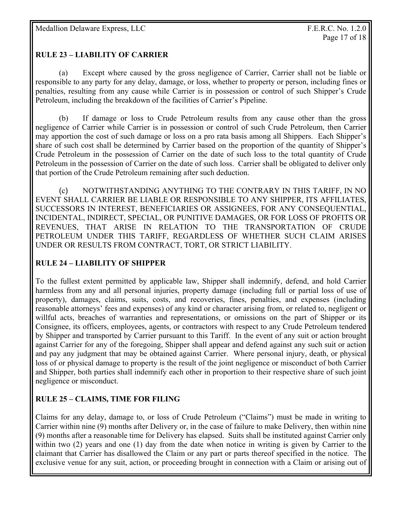#### **RULE 23 – LIABILITY OF CARRIER**

 (a) Except where caused by the gross negligence of Carrier, Carrier shall not be liable or responsible to any party for any delay, damage, or loss, whether to property or person, including fines or penalties, resulting from any cause while Carrier is in possession or control of such Shipper's Crude Petroleum, including the breakdown of the facilities of Carrier's Pipeline.

 (b) If damage or loss to Crude Petroleum results from any cause other than the gross negligence of Carrier while Carrier is in possession or control of such Crude Petroleum, then Carrier may apportion the cost of such damage or loss on a pro rata basis among all Shippers. Each Shipper's share of such cost shall be determined by Carrier based on the proportion of the quantity of Shipper's Crude Petroleum in the possession of Carrier on the date of such loss to the total quantity of Crude Petroleum in the possession of Carrier on the date of such loss. Carrier shall be obligated to deliver only that portion of the Crude Petroleum remaining after such deduction.

 (c) NOTWITHSTANDING ANYTHING TO THE CONTRARY IN THIS TARIFF, IN NO EVENT SHALL CARRIER BE LIABLE OR RESPONSIBLE TO ANY SHIPPER, ITS AFFILIATES, SUCCESSORS IN INTEREST, BENEFICIARIES OR ASSIGNEES, FOR ANY CONSEQUENTIAL, INCIDENTAL, INDIRECT, SPECIAL, OR PUNITIVE DAMAGES, OR FOR LOSS OF PROFITS OR REVENUES, THAT ARISE IN RELATION TO THE TRANSPORTATION OF CRUDE PETROLEUM UNDER THIS TARIFF, REGARDLESS OF WHETHER SUCH CLAIM ARISES UNDER OR RESULTS FROM CONTRACT, TORT, OR STRICT LIABILITY.

#### **RULE 24 – LIABILITY OF SHIPPER**

To the fullest extent permitted by applicable law, Shipper shall indemnify, defend, and hold Carrier harmless from any and all personal injuries, property damage (including full or partial loss of use of property), damages, claims, suits, costs, and recoveries, fines, penalties, and expenses (including reasonable attorneys' fees and expenses) of any kind or character arising from, or related to, negligent or willful acts, breaches of warranties and representations, or omissions on the part of Shipper or its Consignee, its officers, employees, agents, or contractors with respect to any Crude Petroleum tendered by Shipper and transported by Carrier pursuant to this Tariff. In the event of any suit or action brought against Carrier for any of the foregoing, Shipper shall appear and defend against any such suit or action and pay any judgment that may be obtained against Carrier. Where personal injury, death, or physical loss of or physical damage to property is the result of the joint negligence or misconduct of both Carrier and Shipper, both parties shall indemnify each other in proportion to their respective share of such joint negligence or misconduct.

#### **RULE 25 – CLAIMS, TIME FOR FILING**

Claims for any delay, damage to, or loss of Crude Petroleum ("Claims") must be made in writing to Carrier within nine (9) months after Delivery or, in the case of failure to make Delivery, then within nine (9) months after a reasonable time for Delivery has elapsed. Suits shall be instituted against Carrier only within two (2) years and one (1) day from the date when notice in writing is given by Carrier to the claimant that Carrier has disallowed the Claim or any part or parts thereof specified in the notice. The exclusive venue for any suit, action, or proceeding brought in connection with a Claim or arising out of